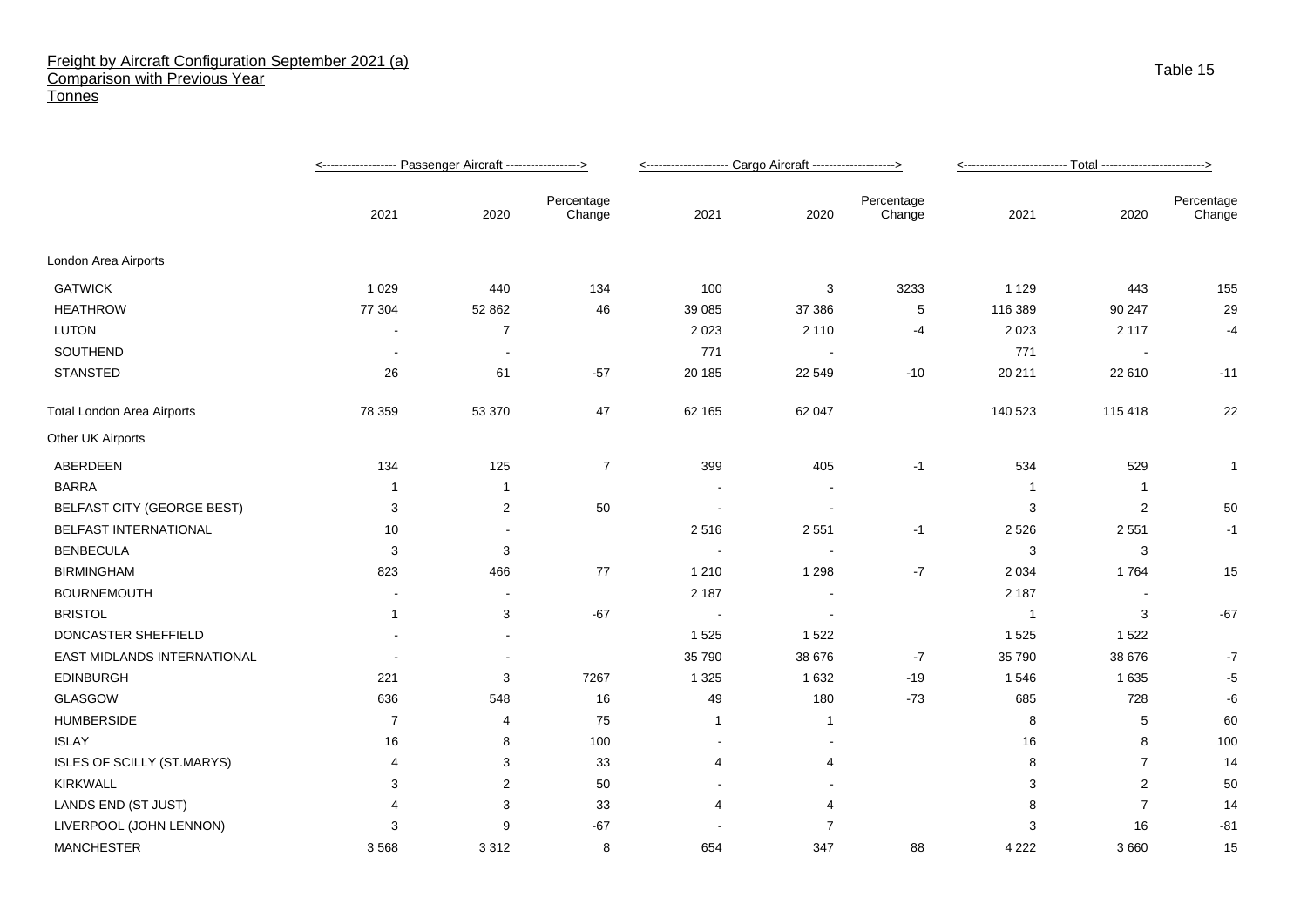## Freight by Aircraft Configuration September 2021 (a) Comparison with Previous Year **Tonnes**

|                                   |                |                         |                      | <-------------------- Cargo Aircraft -------------------> |                          |                      |                |                |                      |
|-----------------------------------|----------------|-------------------------|----------------------|-----------------------------------------------------------|--------------------------|----------------------|----------------|----------------|----------------------|
|                                   | 2021           | 2020                    | Percentage<br>Change | 2021                                                      | 2020                     | Percentage<br>Change | 2021           | 2020           | Percentage<br>Change |
| London Area Airports              |                |                         |                      |                                                           |                          |                      |                |                |                      |
| <b>GATWICK</b>                    | 1 0 2 9        | 440                     | 134                  | 100                                                       | 3                        | 3233                 | 1 1 2 9        | 443            | 155                  |
| <b>HEATHROW</b>                   | 77 304         | 52 862                  | 46                   | 39 085                                                    | 37 386                   | 5                    | 116 389        | 90 247         | 29                   |
| <b>LUTON</b>                      |                | $\overline{7}$          |                      | 2 0 2 3                                                   | 2 1 1 0                  | -4                   | 2 0 2 3        | 2 1 1 7        | $-4$                 |
| SOUTHEND                          |                |                         |                      | 771                                                       | $\overline{\phantom{a}}$ |                      | 771            |                |                      |
| <b>STANSTED</b>                   | 26             | 61                      | $-57$                | 20 185                                                    | 22 549                   | $-10$                | 20 211         | 22 610         | $-11$                |
| <b>Total London Area Airports</b> | 78 359         | 53 370                  | 47                   | 62 165                                                    | 62 047                   |                      | 140 523        | 115 418        | 22                   |
| Other UK Airports                 |                |                         |                      |                                                           |                          |                      |                |                |                      |
| ABERDEEN                          | 134            | 125                     | $\overline{7}$       | 399                                                       | 405                      | $-1$                 | 534            | 529            | $\mathbf{1}$         |
| <b>BARRA</b>                      | -1             | -1                      |                      |                                                           |                          |                      | -1             | -1             |                      |
| <b>BELFAST CITY (GEORGE BEST)</b> | 3              | $\overline{\mathbf{c}}$ | 50                   |                                                           |                          |                      | 3              | $\overline{c}$ | 50                   |
| BELFAST INTERNATIONAL             | 10             |                         |                      | 2516                                                      | 2551                     | $-1$                 | 2 5 2 6        | 2551           | $-1$                 |
| <b>BENBECULA</b>                  | 3              | 3                       |                      |                                                           |                          |                      | 3              | 3              |                      |
| <b>BIRMINGHAM</b>                 | 823            | 466                     | 77                   | 1 2 1 0                                                   | 1 2 9 8                  | $-7$                 | 2 0 3 4        | 1764           | 15                   |
| <b>BOURNEMOUTH</b>                |                |                         |                      | 2 1 8 7                                                   |                          |                      | 2 1 8 7        |                |                      |
| <b>BRISTOL</b>                    | $\mathbf{1}$   | 3                       | $-67$                |                                                           |                          |                      | $\overline{1}$ | 3              | $-67$                |
| DONCASTER SHEFFIELD               |                |                         |                      | 1 5 2 5                                                   | 1522                     |                      | 1525           | 1522           |                      |
| EAST MIDLANDS INTERNATIONAL       |                |                         |                      | 35 790                                                    | 38 676                   | $-7$                 | 35 790         | 38 676         | $-7$                 |
| <b>EDINBURGH</b>                  | 221            | 3                       | 7267                 | 1 3 2 5                                                   | 1 6 3 2                  | $-19$                | 1546           | 1 6 3 5        | $-5$                 |
| GLASGOW                           | 636            | 548                     | 16                   | 49                                                        | 180                      | $-73$                | 685            | 728            | -6                   |
| <b>HUMBERSIDE</b>                 | $\overline{7}$ | 4                       | 75                   | $\mathbf{1}$                                              | $\mathbf{1}$             |                      | 8              | 5              | 60                   |
| <b>ISLAY</b>                      | 16             | 8                       | 100                  | $\sim$                                                    |                          |                      | 16             | 8              | 100                  |
| <b>ISLES OF SCILLY (ST.MARYS)</b> | 4              | 3                       | 33                   | 4                                                         | 4                        |                      | 8              | $\overline{7}$ | 14                   |
| <b>KIRKWALL</b>                   | 3              | 2                       | 50                   |                                                           |                          |                      | 3              | 2              | 50                   |
| LANDS END (ST JUST)               | 4              | 3                       | 33                   | 4                                                         | 4                        |                      | 8              | $\overline{7}$ | 14                   |
| LIVERPOOL (JOHN LENNON)           | 3              | 9                       | $-67$                |                                                           | $\overline{7}$           |                      | 3              | 16             | $-81$                |
| <b>MANCHESTER</b>                 | 3568           | 3312                    | 8                    | 654                                                       | 347                      | 88                   | 4 2 2 2        | 3 6 6 0        | 15                   |